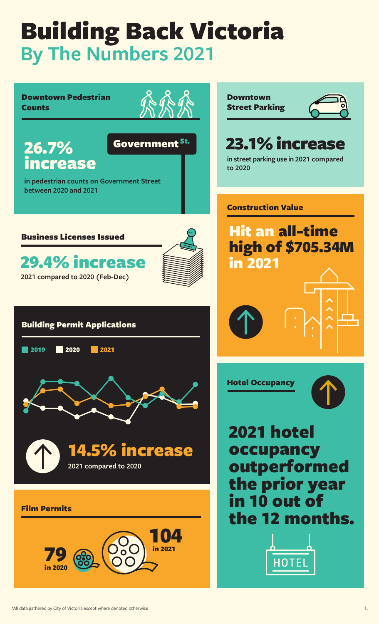### Downtown Pedestrian Downtown **Counts** Street Parking 23.1% increase 26.7% Government St. increase **in street parking use in 2021 compared to 2020 in pedestrian counts on Government Street between 2020 and 2021** Construction Value Hit an all-time Business Licenses Issued high of \$705.34M 29.4% increase in 2021 **2021 compared to 2020 (Feb-Dec)** Building Permit Applications **2019 2020 2021** Hotel Occupancy 2021 hotel 14.5% increase occupancy outperformed **2021 compared to 2020** the prior year in 10 out of Film Permits the 12 months. in 2021 79 in 2021 HOTE in 2020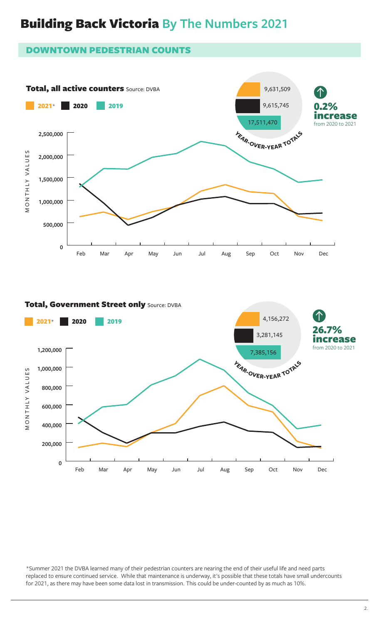#### DOWNTOWN PEDESTRIAN COUNTS



#### Total, Government Street only Source: DVBA



\*Summer 2021 the DVBA learned many of their pedestrian counters are nearing the end of their useful life and need parts replaced to ensure continued service. While that maintenance is underway, it's possible that these totals have small undercounts for 2021, as there may have been some data lost in transmission. This could be under-counted by as much as 10%.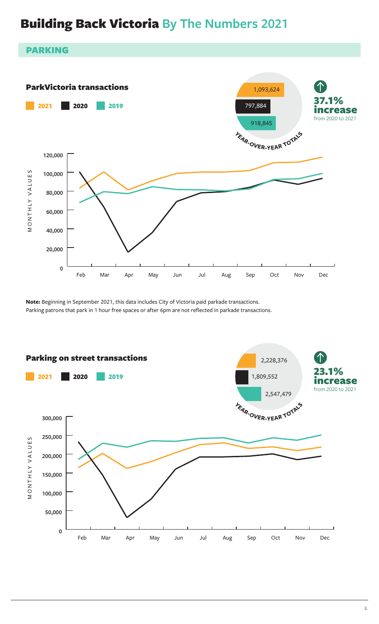#### PARKING



**Note:** Beginning in September 2021, this data includes City of Victoria paid parkade transactions. Parking patrons that park in 1 hour free spaces or after 6pm are not reflected in parkade transactions.

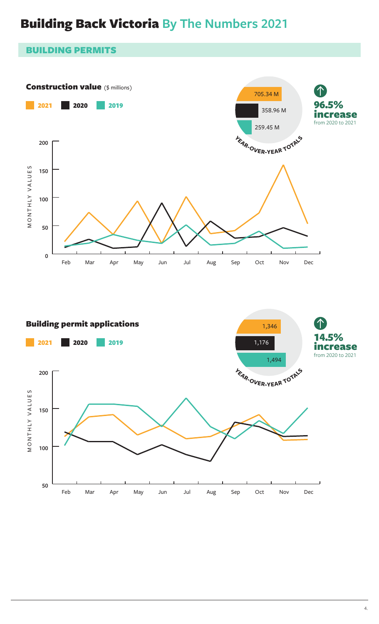#### BUILDING PERMITS



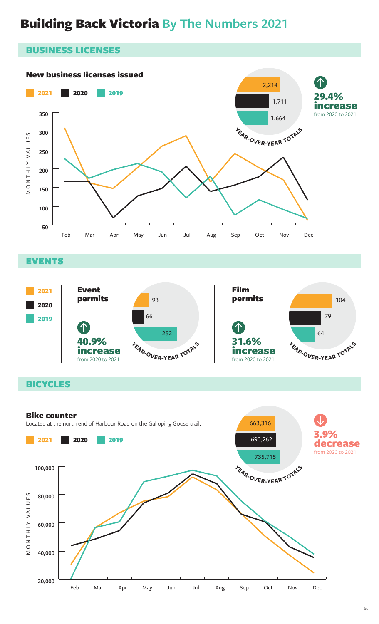

**EVENTS** 



### **BICYCLES**